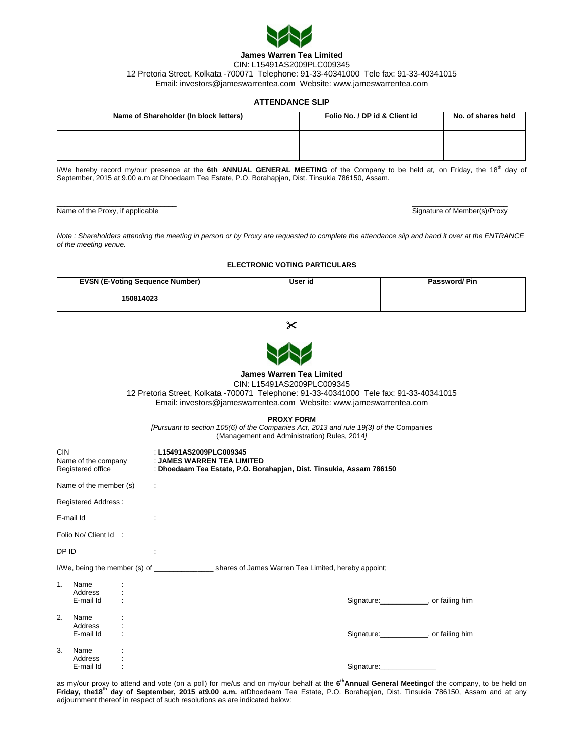

## **James Warren Tea Limited**  CIN: L15491AS2009PLC009345 12 Pretoria Street, Kolkata -700071 Telephone: 91-33-40341000 Tele fax: 91-33-40341015 Email: investors@jameswarrentea.com Website: www.jameswarrentea.com

## **ATTENDANCE SLIP**

| Name of Shareholder (In block letters) | Folio No. / DP id & Client id | No. of shares held |  |
|----------------------------------------|-------------------------------|--------------------|--|
|                                        |                               |                    |  |

I/We hereby record my/our presence at the 6th ANNUAL GENERAL MEETING of the Company to be held at, on Friday, the 18<sup>th</sup> day of September, 2015 at 9.00 a.m at Dhoedaam Tea Estate, P.O. Borahapjan, Dist. Tinsukia 786150, Assam.

\_\_\_\_\_\_\_\_\_\_\_\_\_\_\_\_\_\_\_\_\_\_\_\_\_\_\_\_\_\_ \_\_\_\_\_\_\_\_\_\_\_\_\_\_\_\_\_\_\_\_\_\_\_\_

Name of the Proxy, if applicable Signature of Member(s)/Proxy

*Note : Shareholders attending the meeting in person or by Proxy are requested to complete the attendance slip and hand it over at the ENTRANCE of the meeting venue.* 

**ELECTRONIC VOTING PARTICULARS** 

| <b>EVSN (E-Voting Sequence Number)</b> | User id | Password/Pin |
|----------------------------------------|---------|--------------|
| 150814023                              |         |              |
|                                        |         |              |

 $\star$ 

| <b>James Warren Tea Limited</b><br>CIN: L15491AS2009PLC009345<br>12 Pretoria Street, Kolkata -700071 Telephone: 91-33-40341000 Tele fax: 91-33-40341015<br>Email: investors@jameswarrentea.com Website: www.jameswarrentea.com |                              |  |                                                                                                                                                   |  |  |  |
|--------------------------------------------------------------------------------------------------------------------------------------------------------------------------------------------------------------------------------|------------------------------|--|---------------------------------------------------------------------------------------------------------------------------------------------------|--|--|--|
| <b>PROXY FORM</b><br>[Pursuant to section 105(6) of the Companies Act, 2013 and rule 19(3) of the Companies<br>(Management and Administration) Rules, 2014]                                                                    |                              |  |                                                                                                                                                   |  |  |  |
| <b>CIN</b><br>Registered office                                                                                                                                                                                                |                              |  | : L15491AS2009PLC009345<br>Name of the company : JAMES WARREN TEA LIMITED<br>: Dhoedaam Tea Estate, P.O. Borahapjan, Dist. Tinsukia, Assam 786150 |  |  |  |
| Name of the member (s)<br>$\mathcal{L}_{\mathcal{A}}$                                                                                                                                                                          |                              |  |                                                                                                                                                   |  |  |  |
| <b>Registered Address:</b>                                                                                                                                                                                                     |                              |  |                                                                                                                                                   |  |  |  |
|                                                                                                                                                                                                                                | E-mail Id                    |  | ÷                                                                                                                                                 |  |  |  |
|                                                                                                                                                                                                                                | Folio No/ Client Id :        |  |                                                                                                                                                   |  |  |  |
| DP ID                                                                                                                                                                                                                          |                              |  | ÷                                                                                                                                                 |  |  |  |
|                                                                                                                                                                                                                                |                              |  |                                                                                                                                                   |  |  |  |
| 1.                                                                                                                                                                                                                             | Name<br>Address<br>E-mail Id |  | Signature: ______________, or failing him                                                                                                         |  |  |  |
| 2.                                                                                                                                                                                                                             | Name<br>Address<br>E-mail Id |  | Signature: or failing him                                                                                                                         |  |  |  |
| 3.                                                                                                                                                                                                                             | Name<br>Address<br>E-mail Id |  | Signature: Signature:                                                                                                                             |  |  |  |

as my/our proxy to attend and vote (on a poll) for me/us and on my/our behalf at the **6thAnnual General Meeting**of the company, to be held on Friday, the18<sup>th</sup> day of September, 2015 at9.00 a.m. atDhoedaam Tea Estate, P.O. Borahapjan, Dist. Tinsukia 786150, Assam and at any adjournment thereof in respect of such resolutions as are indicated below: